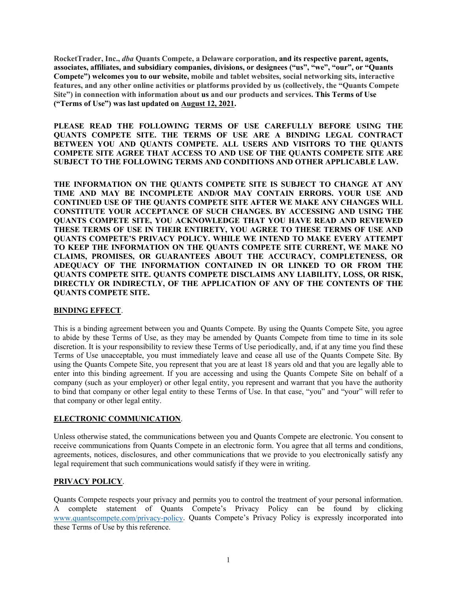**RocketTrader, Inc.,** *dba* **Quants Compete, a Delaware corporation, and its respective parent, agents, associates, affiliates, and subsidiary companies, divisions, or designees ("us", "we", "our", or "Quants Compete") welcomes you to our website, mobile and tablet websites, social networking sits, interactive features, and any other online activities or platforms provided by us (collectively, the "Quants Compete Site") in connection with information about us and our products and services. This Terms of Use ("Terms of Use") was last updated on August 12, 2021.**

**PLEASE READ THE FOLLOWING TERMS OF USE CAREFULLY BEFORE USING THE QUANTS COMPETE SITE. THE TERMS OF USE ARE A BINDING LEGAL CONTRACT BETWEEN YOU AND QUANTS COMPETE. ALL USERS AND VISITORS TO THE QUANTS COMPETE SITE AGREE THAT ACCESS TO AND USE OF THE QUANTS COMPETE SITE ARE SUBJECT TO THE FOLLOWING TERMS AND CONDITIONS AND OTHER APPLICABLE LAW.** 

**THE INFORMATION ON THE QUANTS COMPETE SITE IS SUBJECT TO CHANGE AT ANY TIME AND MAY BE INCOMPLETE AND/OR MAY CONTAIN ERRORS. YOUR USE AND CONTINUED USE OF THE QUANTS COMPETE SITE AFTER WE MAKE ANY CHANGES WILL CONSTITUTE YOUR ACCEPTANCE OF SUCH CHANGES. BY ACCESSING AND USING THE QUANTS COMPETE SITE, YOU ACKNOWLEDGE THAT YOU HAVE READ AND REVIEWED THESE TERMS OF USE IN THEIR ENTIRETY, YOU AGREE TO THESE TERMS OF USE AND QUANTS COMPETE'S PRIVACY POLICY. WHILE WE INTEND TO MAKE EVERY ATTEMPT TO KEEP THE INFORMATION ON THE QUANTS COMPETE SITE CURRENT, WE MAKE NO CLAIMS, PROMISES, OR GUARANTEES ABOUT THE ACCURACY, COMPLETENESS, OR ADEQUACY OF THE INFORMATION CONTAINED IN OR LINKED TO OR FROM THE QUANTS COMPETE SITE. QUANTS COMPETE DISCLAIMS ANY LIABILITY, LOSS, OR RISK, DIRECTLY OR INDIRECTLY, OF THE APPLICATION OF ANY OF THE CONTENTS OF THE QUANTS COMPETE SITE.** 

#### **BINDING EFFECT**.

This is a binding agreement between you and Quants Compete. By using the Quants Compete Site, you agree to abide by these Terms of Use, as they may be amended by Quants Compete from time to time in its sole discretion. It is your responsibility to review these Terms of Use periodically, and, if at any time you find these Terms of Use unacceptable, you must immediately leave and cease all use of the Quants Compete Site. By using the Quants Compete Site, you represent that you are at least 18 years old and that you are legally able to enter into this binding agreement. If you are accessing and using the Quants Compete Site on behalf of a company (such as your employer) or other legal entity, you represent and warrant that you have the authority to bind that company or other legal entity to these Terms of Use. In that case, "you" and "your" will refer to that company or other legal entity.

# **ELECTRONIC COMMUNICATION**.

Unless otherwise stated, the communications between you and Quants Compete are electronic. You consent to receive communications from Quants Compete in an electronic form. You agree that all terms and conditions, agreements, notices, disclosures, and other communications that we provide to you electronically satisfy any legal requirement that such communications would satisfy if they were in writing.

# **PRIVACY POLICY**.

Quants Compete respects your privacy and permits you to control the treatment of your personal information. A complete statement of Quants Compete's Privacy Policy can be found by clicking [www.quantscompete.com/privacy-policy.](http://www.quantscompete.com/privacy-policy) Quants Compete's Privacy Policy is expressly incorporated into these Terms of Use by this reference.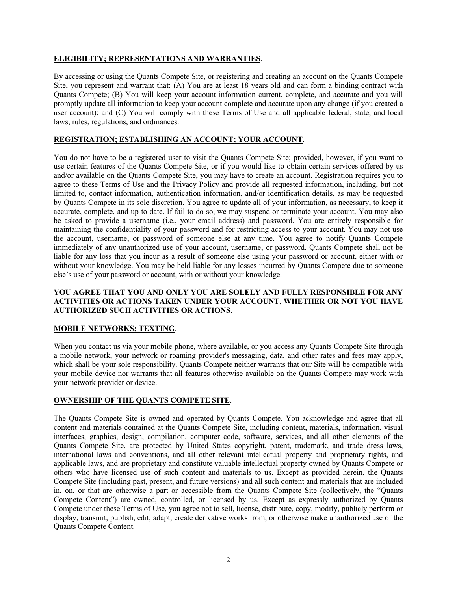# **ELIGIBILITY; REPRESENTATIONS AND WARRANTIES**.

By accessing or using the Quants Compete Site, or registering and creating an account on the Quants Compete Site, you represent and warrant that: (A) You are at least 18 years old and can form a binding contract with Quants Compete; (B) You will keep your account information current, complete, and accurate and you will promptly update all information to keep your account complete and accurate upon any change (if you created a user account); and (C) You will comply with these Terms of Use and all applicable federal, state, and local laws, rules, regulations, and ordinances.

# **REGISTRATION; ESTABLISHING AN ACCOUNT; YOUR ACCOUNT**.

You do not have to be a registered user to visit the Quants Compete Site; provided, however, if you want to use certain features of the Quants Compete Site, or if you would like to obtain certain services offered by us and/or available on the Quants Compete Site, you may have to create an account. Registration requires you to agree to these Terms of Use and the Privacy Policy and provide all requested information, including, but not limited to, contact information, authentication information, and/or identification details, as may be requested by Quants Compete in its sole discretion. You agree to update all of your information, as necessary, to keep it accurate, complete, and up to date. If fail to do so, we may suspend or terminate your account. You may also be asked to provide a username (i.e., your email address) and password. You are entirely responsible for maintaining the confidentiality of your password and for restricting access to your account. You may not use the account, username, or password of someone else at any time. You agree to notify Quants Compete immediately of any unauthorized use of your account, username, or password. Quants Compete shall not be liable for any loss that you incur as a result of someone else using your password or account, either with or without your knowledge. You may be held liable for any losses incurred by Quants Compete due to someone else's use of your password or account, with or without your knowledge.

## **YOU AGREE THAT YOU AND ONLY YOU ARE SOLELY AND FULLY RESPONSIBLE FOR ANY ACTIVITIES OR ACTIONS TAKEN UNDER YOUR ACCOUNT, WHETHER OR NOT YOU HAVE AUTHORIZED SUCH ACTIVITIES OR ACTIONS**.

# **MOBILE NETWORKS; TEXTING**.

When you contact us via your mobile phone, where available, or you access any Quants Compete Site through a mobile network, your network or roaming provider's messaging, data, and other rates and fees may apply, which shall be your sole responsibility. Quants Compete neither warrants that our Site will be compatible with your mobile device nor warrants that all features otherwise available on the Quants Compete may work with your network provider or device.

# **OWNERSHIP OF THE QUANTS COMPETE SITE**.

The Quants Compete Site is owned and operated by Quants Compete. You acknowledge and agree that all content and materials contained at the Quants Compete Site, including content, materials, information, visual interfaces, graphics, design, compilation, computer code, software, services, and all other elements of the Quants Compete Site, are protected by United States copyright, patent, trademark, and trade dress laws, international laws and conventions, and all other relevant intellectual property and proprietary rights, and applicable laws, and are proprietary and constitute valuable intellectual property owned by Quants Compete or others who have licensed use of such content and materials to us. Except as provided herein, the Quants Compete Site (including past, present, and future versions) and all such content and materials that are included in, on, or that are otherwise a part or accessible from the Quants Compete Site (collectively, the "Quants Compete Content") are owned, controlled, or licensed by us. Except as expressly authorized by Quants Compete under these Terms of Use, you agree not to sell, license, distribute, copy, modify, publicly perform or display, transmit, publish, edit, adapt, create derivative works from, or otherwise make unauthorized use of the Quants Compete Content.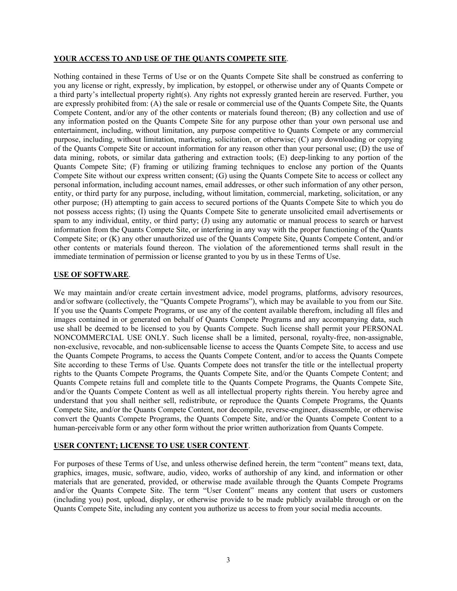#### **YOUR ACCESS TO AND USE OF THE QUANTS COMPETE SITE**.

Nothing contained in these Terms of Use or on the Quants Compete Site shall be construed as conferring to you any license or right, expressly, by implication, by estoppel, or otherwise under any of Quants Compete or a third party's intellectual property right(s). Any rights not expressly granted herein are reserved. Further, you are expressly prohibited from: (A) the sale or resale or commercial use of the Quants Compete Site, the Quants Compete Content, and/or any of the other contents or materials found thereon; (B) any collection and use of any information posted on the Quants Compete Site for any purpose other than your own personal use and entertainment, including, without limitation, any purpose competitive to Quants Compete or any commercial purpose, including, without limitation, marketing, solicitation, or otherwise; (C) any downloading or copying of the Quants Compete Site or account information for any reason other than your personal use; (D) the use of data mining, robots, or similar data gathering and extraction tools; (E) deep-linking to any portion of the Quants Compete Site; (F) framing or utilizing framing techniques to enclose any portion of the Quants Compete Site without our express written consent; (G) using the Quants Compete Site to access or collect any personal information, including account names, email addresses, or other such information of any other person, entity, or third party for any purpose, including, without limitation, commercial, marketing, solicitation, or any other purpose; (H) attempting to gain access to secured portions of the Quants Compete Site to which you do not possess access rights; (I) using the Quants Compete Site to generate unsolicited email advertisements or spam to any individual, entity, or third party; (J) using any automatic or manual process to search or harvest information from the Quants Compete Site, or interfering in any way with the proper functioning of the Quants Compete Site; or (K) any other unauthorized use of the Quants Compete Site, Quants Compete Content, and/or other contents or materials found thereon. The violation of the aforementioned terms shall result in the immediate termination of permission or license granted to you by us in these Terms of Use.

#### **USE OF SOFTWARE**.

We may maintain and/or create certain investment advice, model programs, platforms, advisory resources, and/or software (collectively, the "Quants Compete Programs"), which may be available to you from our Site. If you use the Quants Compete Programs, or use any of the content available therefrom, including all files and images contained in or generated on behalf of Quants Compete Programs and any accompanying data, such use shall be deemed to be licensed to you by Quants Compete. Such license shall permit your PERSONAL NONCOMMERCIAL USE ONLY. Such license shall be a limited, personal, royalty-free, non-assignable, non-exclusive, revocable, and non-sublicensable license to access the Quants Compete Site, to access and use the Quants Compete Programs, to access the Quants Compete Content, and/or to access the Quants Compete Site according to these Terms of Use. Quants Compete does not transfer the title or the intellectual property rights to the Quants Compete Programs, the Quants Compete Site, and/or the Quants Compete Content; and Quants Compete retains full and complete title to the Quants Compete Programs, the Quants Compete Site, and/or the Quants Compete Content as well as all intellectual property rights therein. You hereby agree and understand that you shall neither sell, redistribute, or reproduce the Quants Compete Programs, the Quants Compete Site, and/or the Quants Compete Content, nor decompile, reverse-engineer, disassemble, or otherwise convert the Quants Compete Programs, the Quants Compete Site, and/or the Quants Compete Content to a human-perceivable form or any other form without the prior written authorization from Quants Compete.

# **USER CONTENT; LICENSE TO USE USER CONTENT**.

For purposes of these Terms of Use, and unless otherwise defined herein, the term "content" means text, data, graphics, images, music, software, audio, video, works of authorship of any kind, and information or other materials that are generated, provided, or otherwise made available through the Quants Compete Programs and/or the Quants Compete Site. The term "User Content" means any content that users or customers (including you) post, upload, display, or otherwise provide to be made publicly available through or on the Quants Compete Site, including any content you authorize us access to from your social media accounts.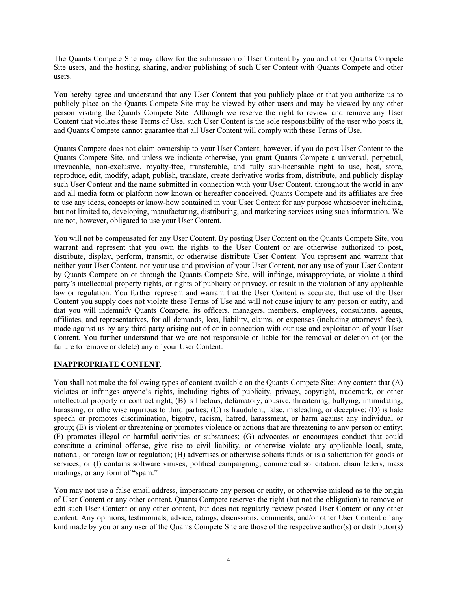The Quants Compete Site may allow for the submission of User Content by you and other Quants Compete Site users, and the hosting, sharing, and/or publishing of such User Content with Quants Compete and other users.

You hereby agree and understand that any User Content that you publicly place or that you authorize us to publicly place on the Quants Compete Site may be viewed by other users and may be viewed by any other person visiting the Quants Compete Site. Although we reserve the right to review and remove any User Content that violates these Terms of Use, such User Content is the sole responsibility of the user who posts it, and Quants Compete cannot guarantee that all User Content will comply with these Terms of Use.

Quants Compete does not claim ownership to your User Content; however, if you do post User Content to the Quants Compete Site, and unless we indicate otherwise, you grant Quants Compete a universal, perpetual, irrevocable, non-exclusive, royalty-free, transferable, and fully sub-licensable right to use, host, store, reproduce, edit, modify, adapt, publish, translate, create derivative works from, distribute, and publicly display such User Content and the name submitted in connection with your User Content, throughout the world in any and all media form or platform now known or hereafter conceived. Quants Compete and its affiliates are free to use any ideas, concepts or know-how contained in your User Content for any purpose whatsoever including, but not limited to, developing, manufacturing, distributing, and marketing services using such information. We are not, however, obligated to use your User Content.

You will not be compensated for any User Content. By posting User Content on the Quants Compete Site, you warrant and represent that you own the rights to the User Content or are otherwise authorized to post, distribute, display, perform, transmit, or otherwise distribute User Content. You represent and warrant that neither your User Content, nor your use and provision of your User Content, nor any use of your User Content by Quants Compete on or through the Quants Compete Site, will infringe, misappropriate, or violate a third party's intellectual property rights, or rights of publicity or privacy, or result in the violation of any applicable law or regulation. You further represent and warrant that the User Content is accurate, that use of the User Content you supply does not violate these Terms of Use and will not cause injury to any person or entity, and that you will indemnify Quants Compete, its officers, managers, members, employees, consultants, agents, affiliates, and representatives, for all demands, loss, liability, claims, or expenses (including attorneys' fees), made against us by any third party arising out of or in connection with our use and exploitation of your User Content. You further understand that we are not responsible or liable for the removal or deletion of (or the failure to remove or delete) any of your User Content.

# **INAPPROPRIATE CONTENT**.

You shall not make the following types of content available on the Quants Compete Site: Any content that (A) violates or infringes anyone's rights, including rights of publicity, privacy, copyright, trademark, or other intellectual property or contract right; (B) is libelous, defamatory, abusive, threatening, bullying, intimidating, harassing, or otherwise injurious to third parties; (C) is fraudulent, false, misleading, or deceptive; (D) is hate speech or promotes discrimination, bigotry, racism, hatred, harassment, or harm against any individual or group; (E) is violent or threatening or promotes violence or actions that are threatening to any person or entity; (F) promotes illegal or harmful activities or substances; (G) advocates or encourages conduct that could constitute a criminal offense, give rise to civil liability, or otherwise violate any applicable local, state, national, or foreign law or regulation; (H) advertises or otherwise solicits funds or is a solicitation for goods or services; or (I) contains software viruses, political campaigning, commercial solicitation, chain letters, mass mailings, or any form of "spam."

You may not use a false email address, impersonate any person or entity, or otherwise mislead as to the origin of User Content or any other content. Quants Compete reserves the right (but not the obligation) to remove or edit such User Content or any other content, but does not regularly review posted User Content or any other content. Any opinions, testimonials, advice, ratings, discussions, comments, and/or other User Content of any kind made by you or any user of the Quants Compete Site are those of the respective author(s) or distributor(s)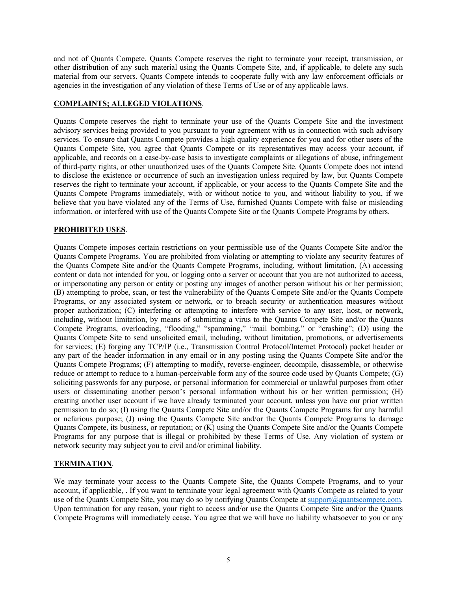and not of Quants Compete. Quants Compete reserves the right to terminate your receipt, transmission, or other distribution of any such material using the Quants Compete Site, and, if applicable, to delete any such material from our servers. Quants Compete intends to cooperate fully with any law enforcement officials or agencies in the investigation of any violation of these Terms of Use or of any applicable laws.

# **COMPLAINTS; ALLEGED VIOLATIONS**.

Quants Compete reserves the right to terminate your use of the Quants Compete Site and the investment advisory services being provided to you pursuant to your agreement with us in connection with such advisory services. To ensure that Quants Compete provides a high quality experience for you and for other users of the Quants Compete Site, you agree that Quants Compete or its representatives may access your account, if applicable, and records on a case-by-case basis to investigate complaints or allegations of abuse, infringement of third-party rights, or other unauthorized uses of the Quants Compete Site. Quants Compete does not intend to disclose the existence or occurrence of such an investigation unless required by law, but Quants Compete reserves the right to terminate your account, if applicable, or your access to the Quants Compete Site and the Quants Compete Programs immediately, with or without notice to you, and without liability to you, if we believe that you have violated any of the Terms of Use, furnished Quants Compete with false or misleading information, or interfered with use of the Quants Compete Site or the Quants Compete Programs by others.

# **PROHIBITED USES**.

Quants Compete imposes certain restrictions on your permissible use of the Quants Compete Site and/or the Quants Compete Programs. You are prohibited from violating or attempting to violate any security features of the Quants Compete Site and/or the Quants Compete Programs, including, without limitation, (A) accessing content or data not intended for you, or logging onto a server or account that you are not authorized to access, or impersonating any person or entity or posting any images of another person without his or her permission; (B) attempting to probe, scan, or test the vulnerability of the Quants Compete Site and/or the Quants Compete Programs, or any associated system or network, or to breach security or authentication measures without proper authorization; (C) interfering or attempting to interfere with service to any user, host, or network, including, without limitation, by means of submitting a virus to the Quants Compete Site and/or the Quants Compete Programs, overloading, "flooding," "spamming," "mail bombing," or "crashing"; (D) using the Quants Compete Site to send unsolicited email, including, without limitation, promotions, or advertisements for services; (E) forging any TCP/IP (i.e., Transmission Control Protocol/Internet Protocol) packet header or any part of the header information in any email or in any posting using the Quants Compete Site and/or the Quants Compete Programs; (F) attempting to modify, reverse-engineer, decompile, disassemble, or otherwise reduce or attempt to reduce to a human-perceivable form any of the source code used by Quants Compete; (G) soliciting passwords for any purpose, or personal information for commercial or unlawful purposes from other users or disseminating another person's personal information without his or her written permission; (H) creating another user account if we have already terminated your account, unless you have our prior written permission to do so; (I) using the Quants Compete Site and/or the Quants Compete Programs for any harmful or nefarious purpose; (J) using the Quants Compete Site and/or the Quants Compete Programs to damage Quants Compete, its business, or reputation; or (K) using the Quants Compete Site and/or the Quants Compete Programs for any purpose that is illegal or prohibited by these Terms of Use. Any violation of system or network security may subject you to civil and/or criminal liability.

# **TERMINATION**.

We may terminate your access to the Quants Compete Site, the Quants Compete Programs, and to your account, if applicable, . If you want to terminate your legal agreement with Quants Compete as related to your use of the Quants Compete Site, you may do so by notifying Quants Compete at [support@quantscompete.com.](mailto:support@quantscompete.com) Upon termination for any reason, your right to access and/or use the Quants Compete Site and/or the Quants Compete Programs will immediately cease. You agree that we will have no liability whatsoever to you or any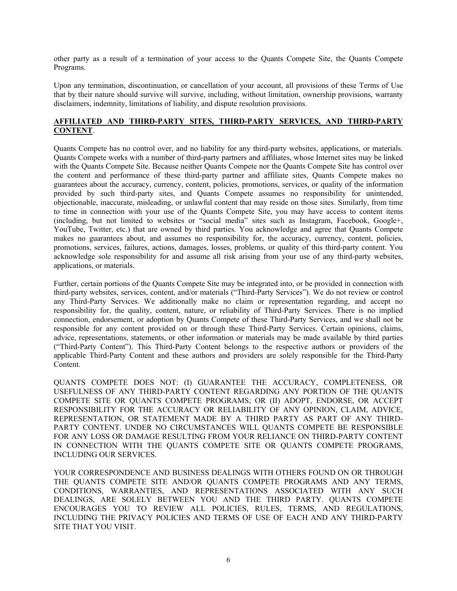other party as a result of a termination of your access to the Quants Compete Site, the Quants Compete Programs.

Upon any termination, discontinuation, or cancellation of your account, all provisions of these Terms of Use that by their nature should survive will survive, including, without limitation, ownership provisions, warranty disclaimers, indemnity, limitations of liability, and dispute resolution provisions.

#### **AFFILIATED AND THIRD-PARTY SITES, THIRD-PARTY SERVICES, AND THIRD-PARTY CONTENT**.

Quants Compete has no control over, and no liability for any third-party websites, applications, or materials. Quants Compete works with a number of third-party partners and affiliates, whose Internet sites may be linked with the Quants Compete Site. Because neither Quants Compete nor the Quants Compete Site has control over the content and performance of these third-party partner and affiliate sites, Quants Compete makes no guarantees about the accuracy, currency, content, policies, promotions, services, or quality of the information provided by such third-party sites, and Quants Compete assumes no responsibility for unintended, objectionable, inaccurate, misleading, or unlawful content that may reside on those sites. Similarly, from time to time in connection with your use of the Quants Compete Site, you may have access to content items (including, but not limited to websites or "social media" sites such as Instagram, Facebook, Google+, YouTube, Twitter, etc.) that are owned by third parties. You acknowledge and agree that Quants Compete makes no guarantees about, and assumes no responsibility for, the accuracy, currency, content, policies, promotions, services, failures, actions, damages, losses, problems, or quality of this third-party content. You acknowledge sole responsibility for and assume all risk arising from your use of any third-party websites, applications, or materials.

Further, certain portions of the Quants Compete Site may be integrated into, or be provided in connection with third-party websites, services, content, and/or materials ("Third-Party Services"). We do not review or control any Third-Party Services. We additionally make no claim or representation regarding, and accept no responsibility for, the quality, content, nature, or reliability of Third-Party Services. There is no implied connection, endorsement, or adoption by Quants Compete of these Third-Party Services, and we shall not be responsible for any content provided on or through these Third-Party Services. Certain opinions, claims, advice, representations, statements, or other information or materials may be made available by third parties ("Third-Party Content"). This Third-Party Content belongs to the respective authors or providers of the applicable Third-Party Content and these authors and providers are solely responsible for the Third-Party Content.

QUANTS COMPETE DOES NOT: (I) GUARANTEE THE ACCURACY, COMPLETENESS, OR USEFULNESS OF ANY THIRD-PARTY CONTENT REGARDING ANY PORTION OF THE QUANTS COMPETE SITE OR QUANTS COMPETE PROGRAMS; OR (II) ADOPT, ENDORSE, OR ACCEPT RESPONSIBILITY FOR THE ACCURACY OR RELIABILITY OF ANY OPINION, CLAIM, ADVICE, REPRESENTATION, OR STATEMENT MADE BY A THIRD PARTY AS PART OF ANY THIRD-PARTY CONTENT. UNDER NO CIRCUMSTANCES WILL QUANTS COMPETE BE RESPONSIBLE FOR ANY LOSS OR DAMAGE RESULTING FROM YOUR RELIANCE ON THIRD-PARTY CONTENT IN CONNECTION WITH THE QUANTS COMPETE SITE OR QUANTS COMPETE PROGRAMS, INCLUDING OUR SERVICES.

YOUR CORRESPONDENCE AND BUSINESS DEALINGS WITH OTHERS FOUND ON OR THROUGH THE QUANTS COMPETE SITE AND/OR QUANTS COMPETE PROGRAMS AND ANY TERMS, CONDITIONS, WARRANTIES, AND REPRESENTATIONS ASSOCIATED WITH ANY SUCH DEALINGS, ARE SOLELY BETWEEN YOU AND THE THIRD PARTY. QUANTS COMPETE ENCOURAGES YOU TO REVIEW ALL POLICIES, RULES, TERMS, AND REGULATIONS, INCLUDING THE PRIVACY POLICIES AND TERMS OF USE OF EACH AND ANY THIRD-PARTY SITE THAT YOU VISIT.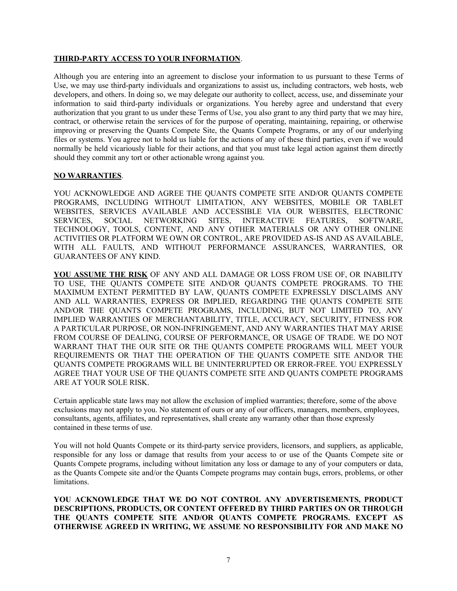## **THIRD-PARTY ACCESS TO YOUR INFORMATION**.

Although you are entering into an agreement to disclose your information to us pursuant to these Terms of Use, we may use third-party individuals and organizations to assist us, including contractors, web hosts, web developers, and others. In doing so, we may delegate our authority to collect, access, use, and disseminate your information to said third-party individuals or organizations. You hereby agree and understand that every authorization that you grant to us under these Terms of Use, you also grant to any third party that we may hire, contract, or otherwise retain the services of for the purpose of operating, maintaining, repairing, or otherwise improving or preserving the Quants Compete Site, the Quants Compete Programs, or any of our underlying files or systems. You agree not to hold us liable for the actions of any of these third parties, even if we would normally be held vicariously liable for their actions, and that you must take legal action against them directly should they commit any tort or other actionable wrong against you.

#### **NO WARRANTIES**.

YOU ACKNOWLEDGE AND AGREE THE QUANTS COMPETE SITE AND/OR QUANTS COMPETE PROGRAMS, INCLUDING WITHOUT LIMITATION, ANY WEBSITES, MOBILE OR TABLET WEBSITES, SERVICES AVAILABLE AND ACCESSIBLE VIA OUR WEBSITES, ELECTRONIC SERVICES, SOCIAL NETWORKING SITES, INTERACTIVE FEATURES, SOFTWARE, TECHNOLOGY, TOOLS, CONTENT, AND ANY OTHER MATERIALS OR ANY OTHER ONLINE ACTIVITIES OR PLATFORM WE OWN OR CONTROL, ARE PROVIDED AS-IS AND AS AVAILABLE, WITH ALL FAULTS, AND WITHOUT PERFORMANCE ASSURANCES, WARRANTIES, OR GUARANTEES OF ANY KIND.

**YOU ASSUME THE RISK** OF ANY AND ALL DAMAGE OR LOSS FROM USE OF, OR INABILITY TO USE, THE QUANTS COMPETE SITE AND/OR QUANTS COMPETE PROGRAMS. TO THE MAXIMUM EXTENT PERMITTED BY LAW, QUANTS COMPETE EXPRESSLY DISCLAIMS ANY AND ALL WARRANTIES, EXPRESS OR IMPLIED, REGARDING THE QUANTS COMPETE SITE AND/OR THE QUANTS COMPETE PROGRAMS, INCLUDING, BUT NOT LIMITED TO, ANY IMPLIED WARRANTIES OF MERCHANTABILITY, TITLE, ACCURACY, SECURITY, FITNESS FOR A PARTICULAR PURPOSE, OR NON-INFRINGEMENT, AND ANY WARRANTIES THAT MAY ARISE FROM COURSE OF DEALING, COURSE OF PERFORMANCE, OR USAGE OF TRADE. WE DO NOT WARRANT THAT THE OUR SITE OR THE QUANTS COMPETE PROGRAMS WILL MEET YOUR REQUIREMENTS OR THAT THE OPERATION OF THE QUANTS COMPETE SITE AND/OR THE QUANTS COMPETE PROGRAMS WILL BE UNINTERRUPTED OR ERROR-FREE. YOU EXPRESSLY AGREE THAT YOUR USE OF THE QUANTS COMPETE SITE AND QUANTS COMPETE PROGRAMS ARE AT YOUR SOLE RISK.

Certain applicable state laws may not allow the exclusion of implied warranties; therefore, some of the above exclusions may not apply to you. No statement of ours or any of our officers, managers, members, employees, consultants, agents, affiliates, and representatives, shall create any warranty other than those expressly contained in these terms of use.

You will not hold Quants Compete or its third-party service providers, licensors, and suppliers, as applicable, responsible for any loss or damage that results from your access to or use of the Quants Compete site or Quants Compete programs, including without limitation any loss or damage to any of your computers or data, as the Quants Compete site and/or the Quants Compete programs may contain bugs, errors, problems, or other limitations.

**YOU ACKNOWLEDGE THAT WE DO NOT CONTROL ANY ADVERTISEMENTS, PRODUCT DESCRIPTIONS, PRODUCTS, OR CONTENT OFFERED BY THIRD PARTIES ON OR THROUGH THE QUANTS COMPETE SITE AND/OR QUANTS COMPETE PROGRAMS. EXCEPT AS OTHERWISE AGREED IN WRITING, WE ASSUME NO RESPONSIBILITY FOR AND MAKE NO**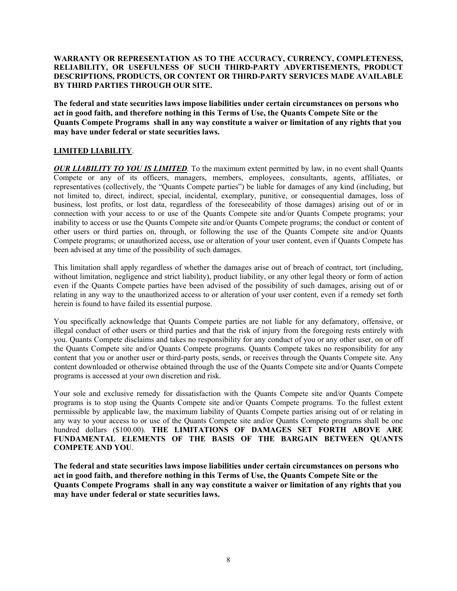## **WARRANTY OR REPRESENTATION AS TO THE ACCURACY, CURRENCY, COMPLETENESS, RELIABILITY, OR USEFULNESS OF SUCH THIRD-PARTY ADVERTISEMENTS, PRODUCT DESCRIPTIONS, PRODUCTS, OR CONTENT OR THIRD-PARTY SERVICES MADE AVAILABLE BY THIRD PARTIES THROUGH OUR SITE.**

**The federal and state securities laws impose liabilities under certain circumstances on persons who act in good faith, and therefore nothing in this Terms of Use, the Quants Compete Site or the Quants Compete Programs shall in any way constitute a waiver or limitation of any rights that you may have under federal or state securities laws.**

# **LIMITED LIABILITY**.

*OUR LIABILITY TO YOU IS LIMITED*. To the maximum extent permitted by law, in no event shall Quants Compete or any of its officers, managers, members, employees, consultants, agents, affiliates, or representatives (collectively, the "Quants Compete parties") be liable for damages of any kind (including, but not limited to, direct, indirect, special, incidental, exemplary, punitive, or consequential damages, loss of business, lost profits, or lost data, regardless of the foreseeability of those damages) arising out of or in connection with your access to or use of the Quants Compete site and/or Quants Compete programs; your inability to access or use the Quants Compete site and/or Quants Compete programs; the conduct or content of other users or third parties on, through, or following the use of the Quants Compete site and/or Quants Compete programs; or unauthorized access, use or alteration of your user content, even if Quants Compete has been advised at any time of the possibility of such damages.

This limitation shall apply regardless of whether the damages arise out of breach of contract, tort (including, without limitation, negligence and strict liability), product liability, or any other legal theory or form of action even if the Quants Compete parties have been advised of the possibility of such damages, arising out of or relating in any way to the unauthorized access to or alteration of your user content, even if a remedy set forth herein is found to have failed its essential purpose.

You specifically acknowledge that Quants Compete parties are not liable for any defamatory, offensive, or illegal conduct of other users or third parties and that the risk of injury from the foregoing rests entirely with you. Quants Compete disclaims and takes no responsibility for any conduct of you or any other user, on or off the Quants Compete site and/or Quants Compete programs. Quants Compete takes no responsibility for any content that you or another user or third-party posts, sends, or receives through the Quants Compete site. Any content downloaded or otherwise obtained through the use of the Quants Compete site and/or Quants Compete programs is accessed at your own discretion and risk.

Your sole and exclusive remedy for dissatisfaction with the Quants Compete site and/or Quants Compete programs is to stop using the Quants Compete site and/or Quants Compete programs. To the fullest extent permissible by applicable law, the maximum liability of Quants Compete parties arising out of or relating in any way to your access to or use of the Quants Compete site and/or Quants Compete programs shall be one hundred dollars (\$100.00). THE LIMITATIONS OF DAMAGES SET FORTH ABOVE ARE **FUNDAMENTAL ELEMENTS OF THE BASIS OF THE BARGAIN BETWEEN QUANTS COMPETE AND YOU**.

**The federal and state securities laws impose liabilities under certain circumstances on persons who act in good faith, and therefore nothing in this Terms of Use, the Quants Compete Site or the Quants Compete Programs shall in any way constitute a waiver or limitation of any rights that you may have under federal or state securities laws.**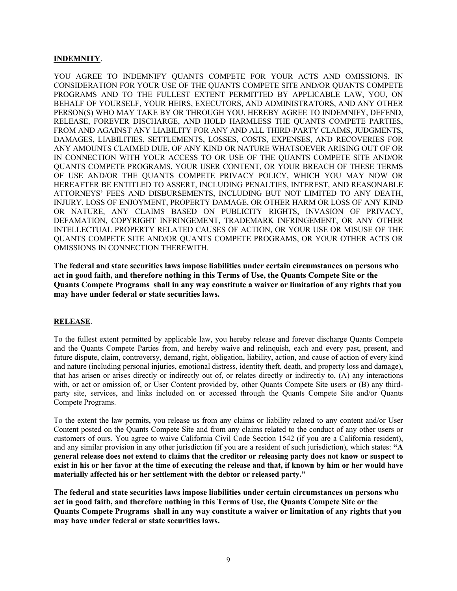#### **INDEMNITY**.

YOU AGREE TO INDEMNIFY QUANTS COMPETE FOR YOUR ACTS AND OMISSIONS. IN CONSIDERATION FOR YOUR USE OF THE QUANTS COMPETE SITE AND/OR QUANTS COMPETE PROGRAMS AND TO THE FULLEST EXTENT PERMITTED BY APPLICABLE LAW, YOU, ON BEHALF OF YOURSELF, YOUR HEIRS, EXECUTORS, AND ADMINISTRATORS, AND ANY OTHER PERSON(S) WHO MAY TAKE BY OR THROUGH YOU, HEREBY AGREE TO INDEMNIFY, DEFEND, RELEASE, FOREVER DISCHARGE, AND HOLD HARMLESS THE QUANTS COMPETE PARTIES, FROM AND AGAINST ANY LIABILITY FOR ANY AND ALL THIRD-PARTY CLAIMS, JUDGMENTS, DAMAGES, LIABILITIES, SETTLEMENTS, LOSSES, COSTS, EXPENSES, AND RECOVERIES FOR ANY AMOUNTS CLAIMED DUE, OF ANY KIND OR NATURE WHATSOEVER ARISING OUT OF OR IN CONNECTION WITH YOUR ACCESS TO OR USE OF THE QUANTS COMPETE SITE AND/OR QUANTS COMPETE PROGRAMS, YOUR USER CONTENT, OR YOUR BREACH OF THESE TERMS OF USE AND/OR THE QUANTS COMPETE PRIVACY POLICY, WHICH YOU MAY NOW OR HEREAFTER BE ENTITLED TO ASSERT, INCLUDING PENALTIES, INTEREST, AND REASONABLE ATTORNEYS' FEES AND DISBURSEMENTS, INCLUDING BUT NOT LIMITED TO ANY DEATH, INJURY, LOSS OF ENJOYMENT, PROPERTY DAMAGE, OR OTHER HARM OR LOSS OF ANY KIND OR NATURE, ANY CLAIMS BASED ON PUBLICITY RIGHTS, INVASION OF PRIVACY, DEFAMATION, COPYRIGHT INFRINGEMENT, TRADEMARK INFRINGEMENT, OR ANY OTHER INTELLECTUAL PROPERTY RELATED CAUSES OF ACTION, OR YOUR USE OR MISUSE OF THE QUANTS COMPETE SITE AND/OR QUANTS COMPETE PROGRAMS, OR YOUR OTHER ACTS OR OMISSIONS IN CONNECTION THEREWITH.

**The federal and state securities laws impose liabilities under certain circumstances on persons who act in good faith, and therefore nothing in this Terms of Use, the Quants Compete Site or the Quants Compete Programs shall in any way constitute a waiver or limitation of any rights that you may have under federal or state securities laws.**

#### **RELEASE**.

To the fullest extent permitted by applicable law, you hereby release and forever discharge Quants Compete and the Quants Compete Parties from, and hereby waive and relinquish, each and every past, present, and future dispute, claim, controversy, demand, right, obligation, liability, action, and cause of action of every kind and nature (including personal injuries, emotional distress, identity theft, death, and property loss and damage), that has arisen or arises directly or indirectly out of, or relates directly or indirectly to, (A) any interactions with, or act or omission of, or User Content provided by, other Quants Compete Site users or (B) any thirdparty site, services, and links included on or accessed through the Quants Compete Site and/or Quants Compete Programs.

To the extent the law permits, you release us from any claims or liability related to any content and/or User Content posted on the Quants Compete Site and from any claims related to the conduct of any other users or customers of ours. You agree to waive California Civil Code Section 1542 (if you are a California resident), and any similar provision in any other jurisdiction (if you are a resident of such jurisdiction), which states: **"A general release does not extend to claims that the creditor or releasing party does not know or suspect to exist in his or her favor at the time of executing the release and that, if known by him or her would have materially affected his or her settlement with the debtor or released party."**

**The federal and state securities laws impose liabilities under certain circumstances on persons who act in good faith, and therefore nothing in this Terms of Use, the Quants Compete Site or the Quants Compete Programs shall in any way constitute a waiver or limitation of any rights that you may have under federal or state securities laws.**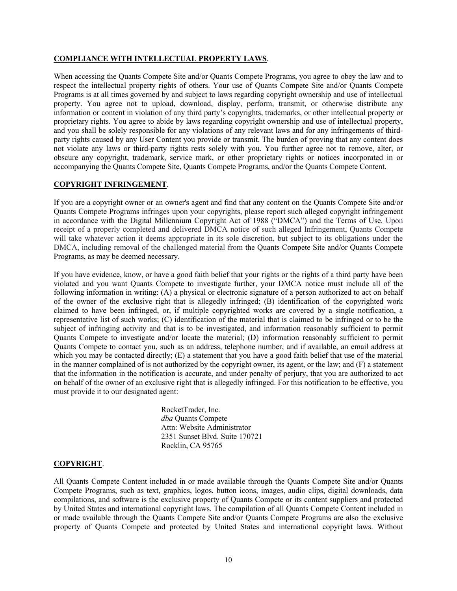#### **COMPLIANCE WITH INTELLECTUAL PROPERTY LAWS**.

When accessing the Quants Compete Site and/or Quants Compete Programs, you agree to obey the law and to respect the intellectual property rights of others. Your use of Quants Compete Site and/or Quants Compete Programs is at all times governed by and subject to laws regarding copyright ownership and use of intellectual property. You agree not to upload, download, display, perform, transmit, or otherwise distribute any information or content in violation of any third party's copyrights, trademarks, or other intellectual property or proprietary rights. You agree to abide by laws regarding copyright ownership and use of intellectual property, and you shall be solely responsible for any violations of any relevant laws and for any infringements of thirdparty rights caused by any User Content you provide or transmit. The burden of proving that any content does not violate any laws or third-party rights rests solely with you. You further agree not to remove, alter, or obscure any copyright, trademark, service mark, or other proprietary rights or notices incorporated in or accompanying the Quants Compete Site, Quants Compete Programs, and/or the Quants Compete Content.

#### **COPYRIGHT INFRINGEMENT**.

If you are a copyright owner or an owner's agent and find that any content on the Quants Compete Site and/or Quants Compete Programs infringes upon your copyrights, please report such alleged copyright infringement in accordance with the Digital Millennium Copyright Act of 1988 ("DMCA") and the Terms of Use. Upon receipt of a properly completed and delivered DMCA notice of such alleged Infringement, Quants Compete will take whatever action it deems appropriate in its sole discretion, but subject to its obligations under the DMCA, including removal of the challenged material from the Quants Compete Site and/or Quants Compete Programs, as may be deemed necessary.

If you have evidence, know, or have a good faith belief that your rights or the rights of a third party have been violated and you want Quants Compete to investigate further, your DMCA notice must include all of the following information in writing: (A) a physical or electronic signature of a person authorized to act on behalf of the owner of the exclusive right that is allegedly infringed; (B) identification of the copyrighted work claimed to have been infringed, or, if multiple copyrighted works are covered by a single notification, a representative list of such works; (C) identification of the material that is claimed to be infringed or to be the subject of infringing activity and that is to be investigated, and information reasonably sufficient to permit Quants Compete to investigate and/or locate the material; (D) information reasonably sufficient to permit Quants Compete to contact you, such as an address, telephone number, and if available, an email address at which you may be contacted directly; (E) a statement that you have a good faith belief that use of the material in the manner complained of is not authorized by the copyright owner, its agent, or the law; and (F) a statement that the information in the notification is accurate, and under penalty of perjury, that you are authorized to act on behalf of the owner of an exclusive right that is allegedly infringed. For this notification to be effective, you must provide it to our designated agent:

> RocketTrader, Inc. *dba* Quants Compete Attn: Website Administrator 2351 Sunset Blvd. Suite 170721 Rocklin, CA 95765

# **COPYRIGHT**.

All Quants Compete Content included in or made available through the Quants Compete Site and/or Quants Compete Programs, such as text, graphics, logos, button icons, images, audio clips, digital downloads, data compilations, and software is the exclusive property of Quants Compete or its content suppliers and protected by United States and international copyright laws. The compilation of all Quants Compete Content included in or made available through the Quants Compete Site and/or Quants Compete Programs are also the exclusive property of Quants Compete and protected by United States and international copyright laws. Without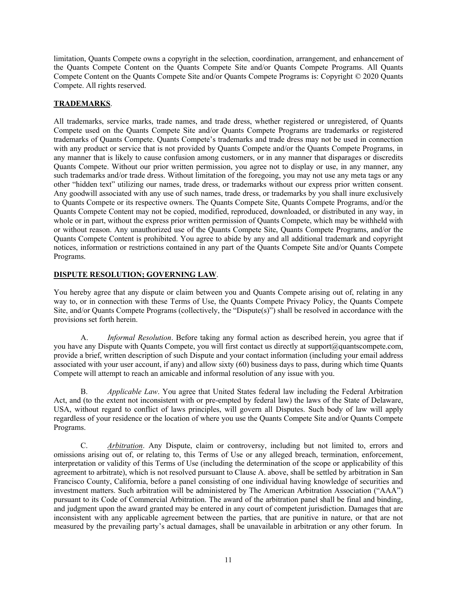limitation, Quants Compete owns a copyright in the selection, coordination, arrangement, and enhancement of the Quants Compete Content on the Quants Compete Site and/or Quants Compete Programs. All Quants Compete Content on the Quants Compete Site and/or Quants Compete Programs is: Copyright *©* 2020 Quants Compete. All rights reserved.

# **TRADEMARKS**.

All trademarks, service marks, trade names, and trade dress, whether registered or unregistered, of Quants Compete used on the Quants Compete Site and/or Quants Compete Programs are trademarks or registered trademarks of Quants Compete. Quants Compete's trademarks and trade dress may not be used in connection with any product or service that is not provided by Quants Compete and/or the Quants Compete Programs, in any manner that is likely to cause confusion among customers, or in any manner that disparages or discredits Quants Compete. Without our prior written permission, you agree not to display or use, in any manner, any such trademarks and/or trade dress. Without limitation of the foregoing, you may not use any meta tags or any other "hidden text" utilizing our names, trade dress, or trademarks without our express prior written consent. Any goodwill associated with any use of such names, trade dress, or trademarks by you shall inure exclusively to Quants Compete or its respective owners. The Quants Compete Site, Quants Compete Programs, and/or the Quants Compete Content may not be copied, modified, reproduced, downloaded, or distributed in any way, in whole or in part, without the express prior written permission of Quants Compete, which may be withheld with or without reason. Any unauthorized use of the Quants Compete Site, Quants Compete Programs, and/or the Quants Compete Content is prohibited. You agree to abide by any and all additional trademark and copyright notices, information or restrictions contained in any part of the Quants Compete Site and/or Quants Compete Programs.

# **DISPUTE RESOLUTION; GOVERNING LAW**.

You hereby agree that any dispute or claim between you and Quants Compete arising out of, relating in any way to, or in connection with these Terms of Use, the Quants Compete Privacy Policy, the Quants Compete Site, and/or Quants Compete Programs (collectively, the "Dispute(s)") shall be resolved in accordance with the provisions set forth herein.

A. *Informal Resolution*. Before taking any formal action as described herein, you agree that if you have any Dispute with Quants Compete, you will first contact us directly at support@quantscompete.com, provide a brief, written description of such Dispute and your contact information (including your email address associated with your user account, if any) and allow sixty (60) business days to pass, during which time Quants Compete will attempt to reach an amicable and informal resolution of any issue with you.

B. *Applicable Law*. You agree that United States federal law including the Federal Arbitration Act, and (to the extent not inconsistent with or pre-empted by federal law) the laws of the State of Delaware, USA, without regard to conflict of laws principles, will govern all Disputes. Such body of law will apply regardless of your residence or the location of where you use the Quants Compete Site and/or Quants Compete Programs.

C. *Arbitration*. Any Dispute, claim or controversy, including but not limited to, errors and omissions arising out of, or relating to, this Terms of Use or any alleged breach, termination, enforcement, interpretation or validity of this Terms of Use (including the determination of the scope or applicability of this agreement to arbitrate), which is not resolved pursuant to Clause A. above, shall be settled by arbitration in San Francisco County, California, before a panel consisting of one individual having knowledge of securities and investment matters. Such arbitration will be administered by The American Arbitration Association ("AAA") pursuant to its Code of Commercial Arbitration. The award of the arbitration panel shall be final and binding, and judgment upon the award granted may be entered in any court of competent jurisdiction. Damages that are inconsistent with any applicable agreement between the parties, that are punitive in nature, or that are not measured by the prevailing party's actual damages, shall be unavailable in arbitration or any other forum. In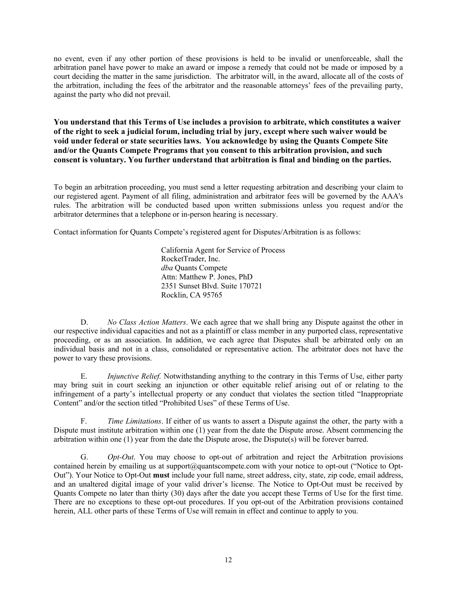no event, even if any other portion of these provisions is held to be invalid or unenforceable, shall the arbitration panel have power to make an award or impose a remedy that could not be made or imposed by a court deciding the matter in the same jurisdiction. The arbitrator will, in the award, allocate all of the costs of the arbitration, including the fees of the arbitrator and the reasonable attorneys' fees of the prevailing party, against the party who did not prevail.

**You understand that this Terms of Use includes a provision to arbitrate, which constitutes a waiver of the right to seek a judicial forum, including trial by jury, except where such waiver would be void under federal or state securities laws. You acknowledge by using the Quants Compete Site and/or the Quants Compete Programs that you consent to this arbitration provision, and such consent is voluntary. You further understand that arbitration is final and binding on the parties.**

To begin an arbitration proceeding, you must send a letter requesting arbitration and describing your claim to our registered agent. Payment of all filing, administration and arbitrator fees will be governed by the AAA's rules. The arbitration will be conducted based upon written submissions unless you request and/or the arbitrator determines that a telephone or in-person hearing is necessary.

Contact information for Quants Compete's registered agent for Disputes/Arbitration is as follows:

California Agent for Service of Process RocketTrader, Inc. *dba* Quants Compete Attn: Matthew P. Jones, PhD 2351 Sunset Blvd. Suite 170721 Rocklin, CA 95765

D. *No Class Action Matters*. We each agree that we shall bring any Dispute against the other in our respective individual capacities and not as a plaintiff or class member in any purported class, representative proceeding, or as an association. In addition, we each agree that Disputes shall be arbitrated only on an individual basis and not in a class, consolidated or representative action. The arbitrator does not have the power to vary these provisions.

E. *Injunctive Relief.* Notwithstanding anything to the contrary in this Terms of Use, either party may bring suit in court seeking an injunction or other equitable relief arising out of or relating to the infringement of a party's intellectual property or any conduct that violates the section titled "Inappropriate Content" and/or the section titled "Prohibited Uses" of these Terms of Use.

F. *Time Limitations*. If either of us wants to assert a Dispute against the other, the party with a Dispute must institute arbitration within one (1) year from the date the Dispute arose. Absent commencing the arbitration within one (1) year from the date the Dispute arose, the Dispute(s) will be forever barred.

G. *Opt-Out*. You may choose to opt-out of arbitration and reject the Arbitration provisions contained herein by emailing us at support@quantscompete.com with your notice to opt-out ("Notice to Opt-Out"). Your Notice to Opt-Out **must** include your full name, street address, city, state, zip code, email address, and an unaltered digital image of your valid driver's license. The Notice to Opt-Out must be received by Quants Compete no later than thirty (30) days after the date you accept these Terms of Use for the first time. There are no exceptions to these opt-out procedures. If you opt-out of the Arbitration provisions contained herein, ALL other parts of these Terms of Use will remain in effect and continue to apply to you.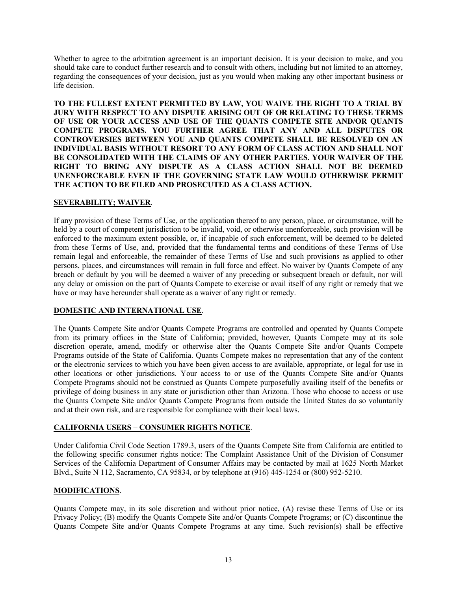Whether to agree to the arbitration agreement is an important decision. It is your decision to make, and you should take care to conduct further research and to consult with others, including but not limited to an attorney, regarding the consequences of your decision, just as you would when making any other important business or life decision.

**TO THE FULLEST EXTENT PERMITTED BY LAW, YOU WAIVE THE RIGHT TO A TRIAL BY JURY WITH RESPECT TO ANY DISPUTE ARISING OUT OF OR RELATING TO THESE TERMS OF USE OR YOUR ACCESS AND USE OF THE QUANTS COMPETE SITE AND/OR QUANTS COMPETE PROGRAMS. YOU FURTHER AGREE THAT ANY AND ALL DISPUTES OR CONTROVERSIES BETWEEN YOU AND QUANTS COMPETE SHALL BE RESOLVED ON AN INDIVIDUAL BASIS WITHOUT RESORT TO ANY FORM OF CLASS ACTION AND SHALL NOT BE CONSOLIDATED WITH THE CLAIMS OF ANY OTHER PARTIES. YOUR WAIVER OF THE RIGHT TO BRING ANY DISPUTE AS A CLASS ACTION SHALL NOT BE DEEMED UNENFORCEABLE EVEN IF THE GOVERNING STATE LAW WOULD OTHERWISE PERMIT THE ACTION TO BE FILED AND PROSECUTED AS A CLASS ACTION.**

# **SEVERABILITY; WAIVER**.

If any provision of these Terms of Use, or the application thereof to any person, place, or circumstance, will be held by a court of competent jurisdiction to be invalid, void, or otherwise unenforceable, such provision will be enforced to the maximum extent possible, or, if incapable of such enforcement, will be deemed to be deleted from these Terms of Use, and, provided that the fundamental terms and conditions of these Terms of Use remain legal and enforceable, the remainder of these Terms of Use and such provisions as applied to other persons, places, and circumstances will remain in full force and effect. No waiver by Quants Compete of any breach or default by you will be deemed a waiver of any preceding or subsequent breach or default, nor will any delay or omission on the part of Quants Compete to exercise or avail itself of any right or remedy that we have or may have hereunder shall operate as a waiver of any right or remedy.

#### **DOMESTIC AND INTERNATIONAL USE**.

The Quants Compete Site and/or Quants Compete Programs are controlled and operated by Quants Compete from its primary offices in the State of California; provided, however, Quants Compete may at its sole discretion operate, amend, modify or otherwise alter the Quants Compete Site and/or Quants Compete Programs outside of the State of California. Quants Compete makes no representation that any of the content or the electronic services to which you have been given access to are available, appropriate, or legal for use in other locations or other jurisdictions. Your access to or use of the Quants Compete Site and/or Quants Compete Programs should not be construed as Quants Compete purposefully availing itself of the benefits or privilege of doing business in any state or jurisdiction other than Arizona. Those who choose to access or use the Quants Compete Site and/or Quants Compete Programs from outside the United States do so voluntarily and at their own risk, and are responsible for compliance with their local laws.

# **CALIFORNIA USERS – CONSUMER RIGHTS NOTICE**.

Under California Civil Code Section 1789.3, users of the Quants Compete Site from California are entitled to the following specific consumer rights notice: The Complaint Assistance Unit of the Division of Consumer Services of the California Department of Consumer Affairs may be contacted by mail at 1625 North Market Blvd., Suite N 112, Sacramento, CA 95834, or by telephone at (916) 445-1254 or (800) 952-5210.

# **MODIFICATIONS**.

Quants Compete may, in its sole discretion and without prior notice, (A) revise these Terms of Use or its Privacy Policy; (B) modify the Quants Compete Site and/or Quants Compete Programs; or (C) discontinue the Quants Compete Site and/or Quants Compete Programs at any time. Such revision(s) shall be effective